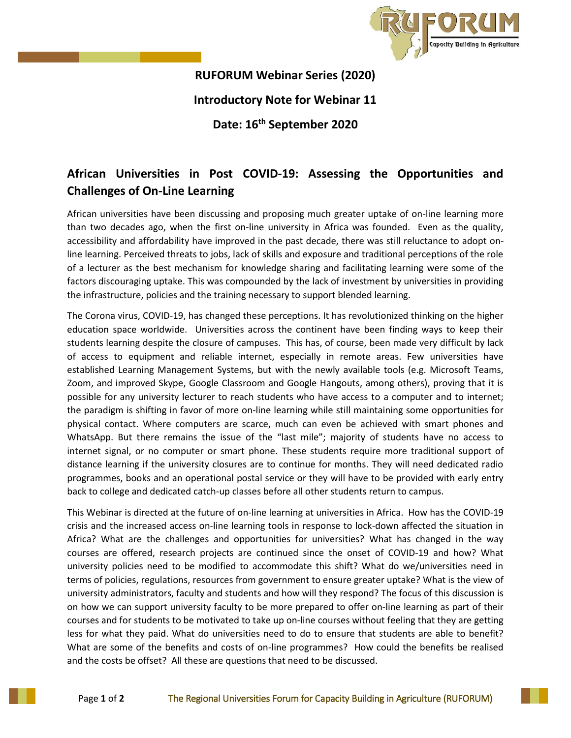

## **RUFORUM Webinar Series (2020) Introductory Note for Webinar 11**

**Date: 16th September 2020**

## **African Universities in Post COVID-19: Assessing the Opportunities and Challenges of On-Line Learning**

African universities have been discussing and proposing much greater uptake of on-line learning more than two decades ago, when the first on-line university in Africa was founded. Even as the quality, accessibility and affordability have improved in the past decade, there was still reluctance to adopt online learning. Perceived threats to jobs, lack of skills and exposure and traditional perceptions of the role of a lecturer as the best mechanism for knowledge sharing and facilitating learning were some of the factors discouraging uptake. This was compounded by the lack of investment by universities in providing the infrastructure, policies and the training necessary to support blended learning.

The Corona virus, COVID-19, has changed these perceptions. It has revolutionized thinking on the higher education space worldwide. Universities across the continent have been finding ways to keep their students learning despite the closure of campuses. This has, of course, been made very difficult by lack of access to equipment and reliable internet, especially in remote areas. Few universities have established Learning Management Systems, but with the newly available tools (e.g. Microsoft Teams, Zoom, and improved Skype, Google Classroom and Google Hangouts, among others), proving that it is possible for any university lecturer to reach students who have access to a computer and to internet; the paradigm is shifting in favor of more on-line learning while still maintaining some opportunities for physical contact. Where computers are scarce, much can even be achieved with smart phones and WhatsApp. But there remains the issue of the "last mile"; majority of students have no access to internet signal, or no computer or smart phone. These students require more traditional support of distance learning if the university closures are to continue for months. They will need dedicated radio programmes, books and an operational postal service or they will have to be provided with early entry back to college and dedicated catch-up classes before all other students return to campus.

This Webinar is directed at the future of on-line learning at universities in Africa. How has the COVID-19 crisis and the increased access on-line learning tools in response to lock-down affected the situation in Africa? What are the challenges and opportunities for universities? What has changed in the way courses are offered, research projects are continued since the onset of COVID-19 and how? What university policies need to be modified to accommodate this shift? What do we/universities need in terms of policies, regulations, resources from government to ensure greater uptake? What is the view of university administrators, faculty and students and how will they respond? The focus of this discussion is on how we can support university faculty to be more prepared to offer on-line learning as part of their courses and for students to be motivated to take up on-line courses without feeling that they are getting less for what they paid. What do universities need to do to ensure that students are able to benefit? What are some of the benefits and costs of on-line programmes? How could the benefits be realised and the costs be offset? All these are questions that need to be discussed.